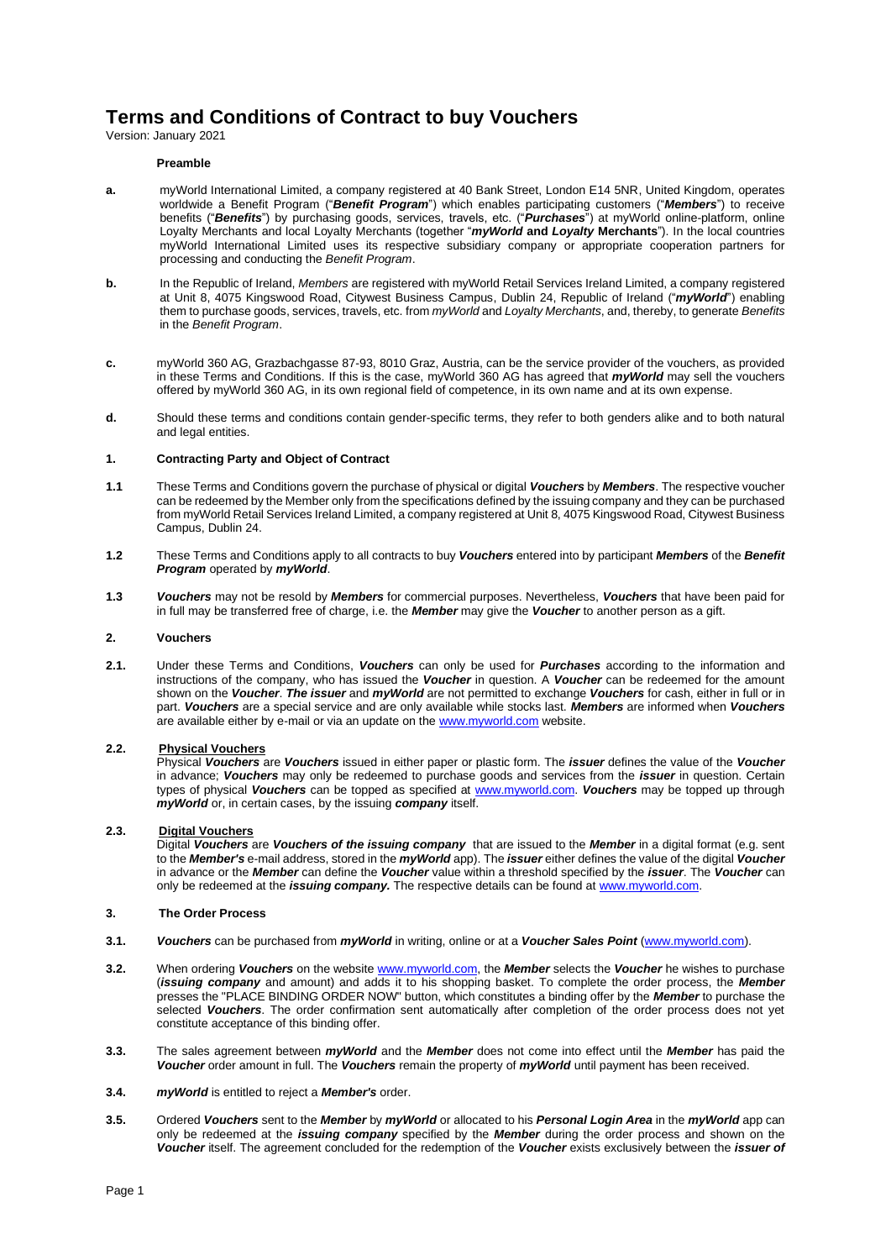# **Terms and Conditions of Contract to buy Vouchers**

Version: January 2021

# **Preamble**

- **a.** myWorld International Limited, a company registered at 40 Bank Street, London E14 5NR, United Kingdom, operates worldwide a Benefit Program ("*Benefit Program*") which enables participating customers ("*Members*") to receive benefits ("*Benefits*") by purchasing goods, services, travels, etc. ("*Purchases*") at myWorld online-platform, online Loyalty Merchants and local Loyalty Merchants (together "*myWorld* **and** *Loyalty* **Merchants**"). In the local countries myWorld International Limited uses its respective subsidiary company or appropriate cooperation partners for processing and conducting the *Benefit Program*.
- **b.** In the Republic of Ireland, *Members* are registered with myWorld Retail Services Ireland Limited, a company registered at Unit 8, 4075 Kingswood Road, Citywest Business Campus, Dublin 24, Republic of Ireland ("*myWorld*") enabling them to purchase goods, services, travels, etc. from *myWorld* and *Loyalty Merchants*, and, thereby, to generate *Benefits* in the *Benefit Program*.
- **c.** myWorld 360 AG, Grazbachgasse 87-93, 8010 Graz, Austria, can be the service provider of the vouchers, as provided in these Terms and Conditions. If this is the case, myWorld 360 AG has agreed that *myWorld* may sell the vouchers offered by myWorld 360 AG, in its own regional field of competence, in its own name and at its own expense.
- **d.** Should these terms and conditions contain gender-specific terms, they refer to both genders alike and to both natural and legal entities.

# **1. Contracting Party and Object of Contract**

- **1.1** These Terms and Conditions govern the purchase of physical or digital *Vouchers* by *Members*. The respective voucher can be redeemed by the Member only from the specifications defined by the issuing company and they can be purchased from myWorld Retail Services Ireland Limited, a company registered at Unit 8, 4075 Kingswood Road, Citywest Business Campus, Dublin 24.
- **1.2** These Terms and Conditions apply to all contracts to buy *Vouchers* entered into by participant *Members* of the *Benefit Program* operated by *myWorld*.
- **1.3** *Vouchers* may not be resold by *Members* for commercial purposes. Nevertheless, *Vouchers* that have been paid for in full may be transferred free of charge, i.e. the *Member* may give the *Voucher* to another person as a gift.

## **2. Vouchers**

**2.1.** Under these Terms and Conditions, *Vouchers* can only be used for *Purchases* according to the information and instructions of the company, who has issued the *Voucher* in question. A *Voucher* can be redeemed for the amount shown on the *Voucher*. *The issuer* and *myWorld* are not permitted to exchange *Vouchers* for cash, either in full or in part. *Vouchers* are a special service and are only available while stocks last. *Members* are informed when *Vouchers* are available either by e-mail or via an update on th[e www.myworld.com](http://www.myworld.com/) website.

# **2.2. Physical Vouchers**

Physical *Vouchers* are *Vouchers* issued in either paper or plastic form. The *issuer* defines the value of the *Voucher* in advance; *Vouchers* may only be redeemed to purchase goods and services from the *issuer* in question. Certain types of physical *Vouchers* can be topped as specified at [www.myworld.com.](http://www.myworld.com/) *Vouchers* may be topped up through *myWorld* or, in certain cases, by the issuing *company* itself.

# **2.3. Digital Vouchers**

Digital *Vouchers* are *Vouchers of the issuing company* that are issued to the *Member* in a digital format (e.g. sent to the *Member's* e-mail address, stored in the *myWorld* app). The *issuer* either defines the value of the digital *Voucher* in advance or the *Member* can define the *Voucher* value within a threshold specified by the *issuer*. The *Voucher* can only be redeemed at the *issuing company.* The respective details can be found a[t www.myworld.com.](http://www.myworld.com/)

## **3. The Order Process**

- **3.1.** *Vouchers* can be purchased from *myWorld* in writing, online or at a *Voucher Sales Point* [\(www.myworld.com\)](http://www.myworld.com/).
- **3.2.** When ordering *Vouchers* on the websit[e www.myworld.com,](http://www.myworld.com/) the *Member* selects the *Voucher* he wishes to purchase (*issuing company* and amount) and adds it to his shopping basket. To complete the order process, the *Member* presses the "PLACE BINDING ORDER NOW" button, which constitutes a binding offer by the *Member* to purchase the selected *Vouchers*. The order confirmation sent automatically after completion of the order process does not yet constitute acceptance of this binding offer.
- **3.3.** The sales agreement between *myWorld* and the *Member* does not come into effect until the *Member* has paid the *Voucher* order amount in full. The *Vouchers* remain the property of *myWorld* until payment has been received.
- **3.4.** *myWorld* is entitled to reject a *Member's* order.
- **3.5.** Ordered *Vouchers* sent to the *Member* by *myWorld* or allocated to his *Personal Login Area* in the *myWorld* app can only be redeemed at the *issuing company* specified by the *Member* during the order process and shown on the *Voucher* itself. The agreement concluded for the redemption of the *Voucher* exists exclusively between the *issuer of*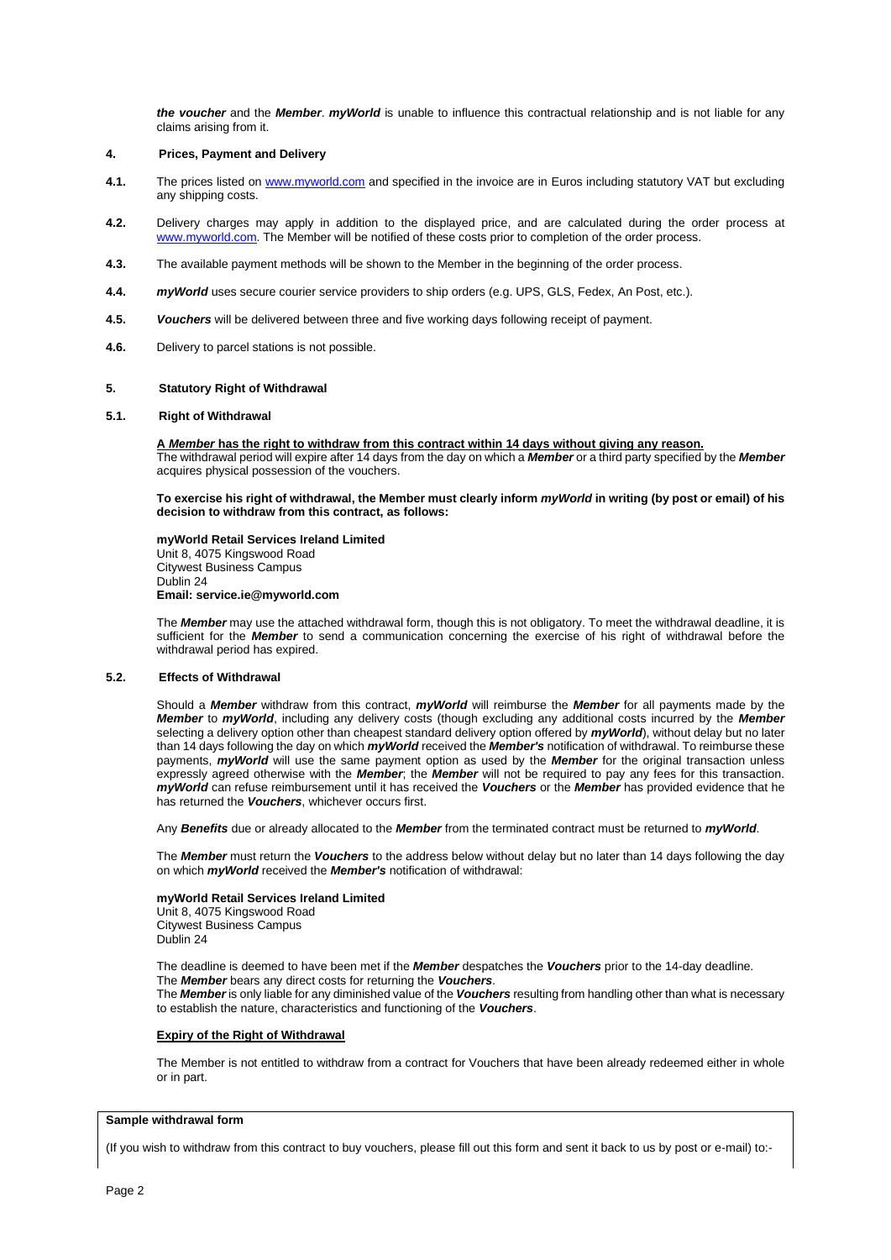*the voucher* and the *Member*. *myWorld* is unable to influence this contractual relationship and is not liable for any claims arising from it.

# **4. Prices, Payment and Delivery**

- **4.1.** The prices listed on [www.myworld.com](http://www.myworld.com/) and specified in the invoice are in Euros including statutory VAT but excluding any shipping costs.
- **4.2.** Delivery charges may apply in addition to the displayed price, and are calculated during the order process at [www.myworld.com.](http://www.myworld.com/) The Member will be notified of these costs prior to completion of the order process.
- **4.3.** The available payment methods will be shown to the Member in the beginning of the order process.
- **4.4.** *myWorld* uses secure courier service providers to ship orders (e.g. UPS, GLS, Fedex, An Post, etc.).
- **4.5.** *Vouchers* will be delivered between three and five working days following receipt of payment.
- **4.6.** Delivery to parcel stations is not possible.

### **5. Statutory Right of Withdrawal**

## **5.1. Right of Withdrawal**

**A** *Member* **has the right to withdraw from this contract within 14 days without giving any reason.** The withdrawal period will expire after 14 days from the day on which a *Member* or a third party specified by the *Member* acquires physical possession of the vouchers.

**To exercise his right of withdrawal, the Member must clearly inform** *myWorld* **in writing (by post or email) of his decision to withdraw from this contract, as follows:**

**myWorld Retail Services Ireland Limited** Unit 8, 4075 Kingswood Road Citywest Business Campus Dublin 24 **Email: service.ie@myworld.com**

The *Member* may use the attached withdrawal form, though this is not obligatory. To meet the withdrawal deadline, it is sufficient for the *Member* to send a communication concerning the exercise of his right of withdrawal before the withdrawal period has expired.

# **5.2. Effects of Withdrawal**

Should a *Member* withdraw from this contract, *myWorld* will reimburse the *Member* for all payments made by the *Member* to *myWorld*, including any delivery costs (though excluding any additional costs incurred by the *Member* selecting a delivery option other than cheapest standard delivery option offered by *myWorld*), without delay but no later than 14 days following the day on which *myWorld* received the *Member's* notification of withdrawal. To reimburse these payments, *myWorld* will use the same payment option as used by the *Member* for the original transaction unless expressly agreed otherwise with the *Member*; the *Member* will not be required to pay any fees for this transaction. *myWorld* can refuse reimbursement until it has received the *Vouchers* or the *Member* has provided evidence that he has returned the *Vouchers*, whichever occurs first.

Any *Benefits* due or already allocated to the *Member* from the terminated contract must be returned to *myWorld*.

The *Member* must return the *Vouchers* to the address below without delay but no later than 14 days following the day on which *myWorld* received the *Member's* notification of withdrawal:

#### **myWorld Retail Services Ireland Limited**

Unit 8, 4075 Kingswood Road Citywest Business Campus Dublin 24

The deadline is deemed to have been met if the *Member* despatches the *Vouchers* prior to the 14-day deadline. The *Member* bears any direct costs for returning the *Vouchers*.

The *Member* is only liable for any diminished value of the *Vouchers* resulting from handling other than what is necessary to establish the nature, characteristics and functioning of the *Vouchers*.

## **Expiry of the Right of Withdrawal**

The Member is not entitled to withdraw from a contract for Vouchers that have been already redeemed either in whole or in part.

#### **Sample withdrawal form**

(If you wish to withdraw from this contract to buy vouchers, please fill out this form and sent it back to us by post or e-mail) to:-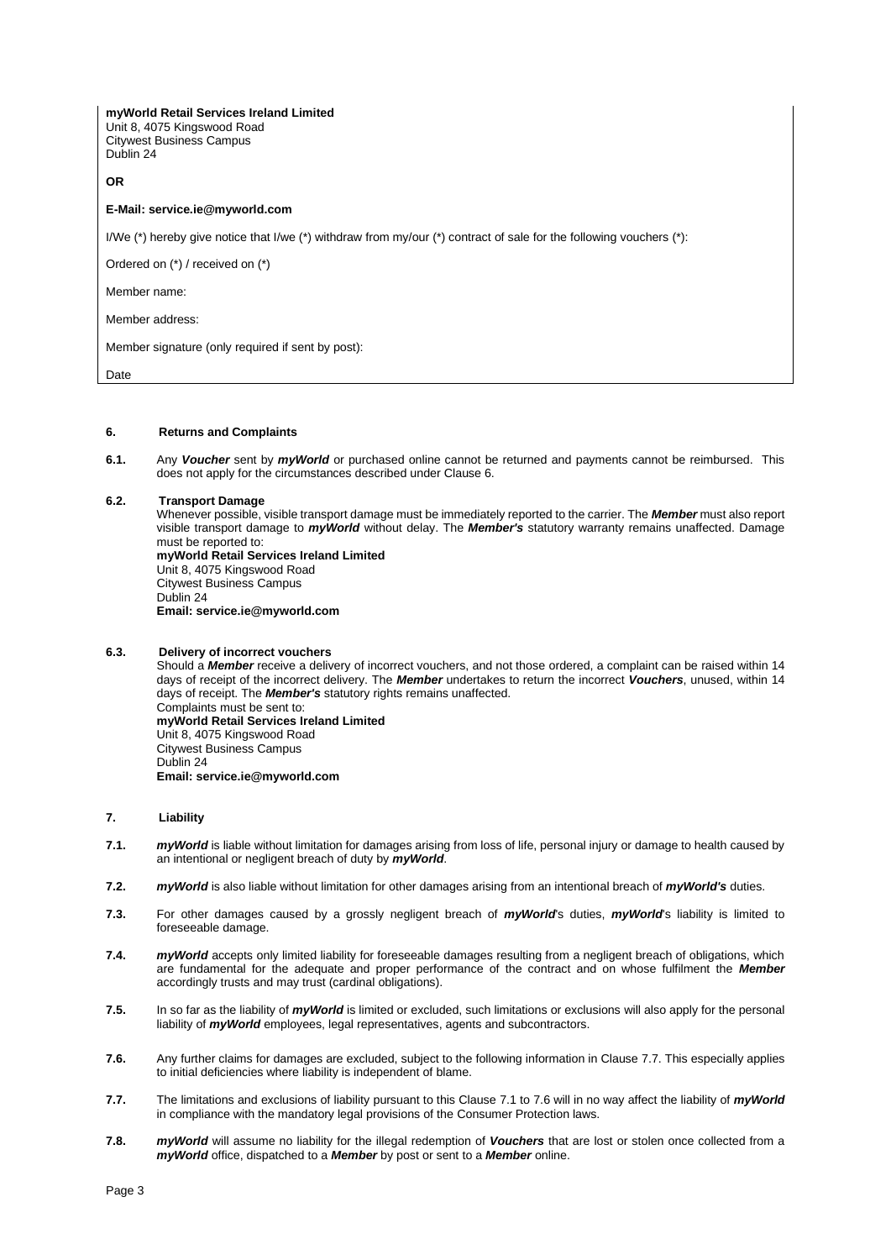**myWorld Retail Services Ireland Limited** Unit 8, 4075 Kingswood Road Citywest Business Campus Dublin 24

**OR**

# **E-Mail: service.ie@myworld.com**

I/We (\*) hereby give notice that I/we (\*) withdraw from my/our (\*) contract of sale for the following vouchers (\*):

Ordered on (\*) / received on (\*)

Member name:

Member address:

Member signature (only required if sent by post):

**Date** 

## **6. Returns and Complaints**

**6.1.** Any *Voucher* sent by *myWorld* or purchased online cannot be returned and payments cannot be reimbursed. This does not apply for the circumstances described under Clause 6.

## **6.2. Transport Damage**

Whenever possible, visible transport damage must be immediately reported to the carrier. The *Member* must also report visible transport damage to *myWorld* without delay. The *Member's* statutory warranty remains unaffected. Damage must be reported to:

**myWorld Retail Services Ireland Limited** Unit 8, 4075 Kingswood Road Citywest Business Campus Dublin 24 **Email: service.ie@myworld.com**

# **6.3. Delivery of incorrect vouchers**

Should a *Member* receive a delivery of incorrect vouchers, and not those ordered, a complaint can be raised within 14 days of receipt of the incorrect delivery. The *Member* undertakes to return the incorrect *Vouchers*, unused, within 14 days of receipt. The *Member's* statutory rights remains unaffected. Complaints must be sent to: **myWorld Retail Services Ireland Limited** Unit 8, 4075 Kingswood Road Citywest Business Campus Dublin 24

**Email: service.ie@myworld.com**

# **7. Liability**

- **7.1.** *myWorld* is liable without limitation for damages arising from loss of life, personal injury or damage to health caused by an intentional or negligent breach of duty by *myWorld*.
- **7.2.** *myWorld* is also liable without limitation for other damages arising from an intentional breach of *myWorld's* duties.
- **7.3.** For other damages caused by a grossly negligent breach of *myWorld*'s duties, *myWorld*'s liability is limited to foreseeable damage.
- **7.4.** *myWorld* accepts only limited liability for foreseeable damages resulting from a negligent breach of obligations, which are fundamental for the adequate and proper performance of the contract and on whose fulfilment the *Member* accordingly trusts and may trust (cardinal obligations).
- **7.5.** In so far as the liability of *myWorld* is limited or excluded, such limitations or exclusions will also apply for the personal liability of *myWorld* employees, legal representatives, agents and subcontractors.
- **7.6.** Any further claims for damages are excluded, subject to the following information in Clause 7.7. This especially applies to initial deficiencies where liability is independent of blame.
- **7.7.** The limitations and exclusions of liability pursuant to this Clause 7.1 to 7.6 will in no way affect the liability of *myWorld* in compliance with the mandatory legal provisions of the Consumer Protection laws.
- **7.8.** *myWorld* will assume no liability for the illegal redemption of *Vouchers* that are lost or stolen once collected from a *myWorld* office, dispatched to a *Member* by post or sent to a *Member* online.